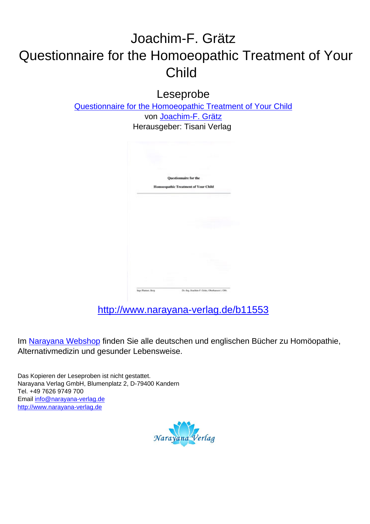# Joachim-F. Grätz Questionnaire for the Homoeopathic Treatment of Your Child

Leseprobe

[Questionnaire for the Homoeopathic Treatment of Your Child](http://www.narayana-verlag.de/Questionnaire-for-the-Homoeopathic-Treatment-of-Your-Child-Joachim-F-Graetz/b11553/partner/leseprobe) von [Joachim-F. Grätz](http://www.narayana-verlag.de/Joachim-F-Gr-tz/a299/partner/leseprobe) Herausgeber: Tisani Verlag



[http://www.narayana-verlag.de/b11553](http://www.narayana-verlag.de/Questionnaire-for-the-Homoeopathic-Treatment-of-Your-Child-Joachim-F-Graetz/b11553/partner/leseprobe)

Im [Narayana Webshop](http://www.narayana-verlag.de/partner/leseprobe) finden Sie alle deutschen und englischen Bücher zu Homöopathie, Alternativmedizin und gesunder Lebensweise.

Das Kopieren der Leseproben ist nicht gestattet. Narayana Verlag GmbH, Blumenplatz 2, D-79400 Kandern Tel. +49 7626 9749 700 Email [info@narayana-verlag.de](mailto:info@narayana-verlag.de) [http://www.narayana-verlag.de](http://www.narayana-verlag.de/partner/leseprobe)

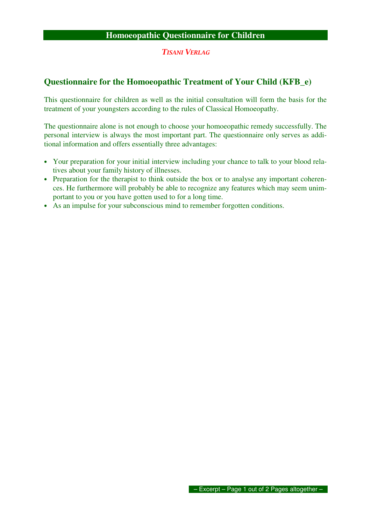### **Homoeopathic Questionnaire for Children**

### TISANI VERLAG

## **Questionnaire for the Homoeopathic Treatment of Your Child (KFB\_e)**

This questionnaire for children as well as the initial consultation will form the basis for the treatment of your youngsters according to the rules of Classical Homoeopathy.

The questionnaire alone is not enough to choose your homoeopathic remedy successfully. The personal interview is always the most important part. The questionnaire only serves as additional information and offers essentially three advantages:

- Your preparation for your initial interview including your chance to talk to your blood relatives about your family history of illnesses.
- Preparation for the therapist to think outside the box or to analyse any important coherences. He furthermore will probably be able to recognize any features which may seem unimportant to you or you have gotten used to for a long time.
- As an impulse for your subconscious mind to remember forgotten conditions.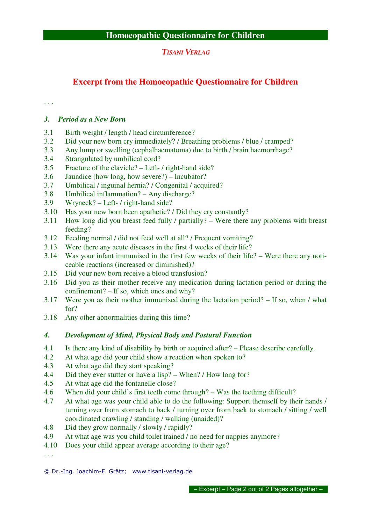TISANI VERLAG

## **Excerpt from the Homoeopathic Questionnaire for Children**

. . .

## *3. Period as a New Born*

- 3.1 Birth weight / length / head circumference?
- 3.2 Did your new born cry immediately? / Breathing problems / blue / cramped?
- 3.3 Any lump or swelling (cephalhaematoma) due to birth / brain haemorrhage?
- 3.4 Strangulated by umbilical cord?
- 3.5 Fracture of the clavicle? Left- / right-hand side?
- 3.6 Jaundice (how long, how severe?) Incubator?
- 3.7 Umbilical / inguinal hernia? / Congenital / acquired?
- 3.8 Umbilical inflammation? Any discharge?
- 3.9 Wryneck? Left- / right-hand side?
- 3.10 Has your new born been apathetic? / Did they cry constantly?
- 3.11 How long did you breast feed fully / partially? Were there any problems with breast feeding?
- 3.12 Feeding normal / did not feed well at all? / Frequent vomiting?
- 3.13 Were there any acute diseases in the first 4 weeks of their life?
- 3.14 Was your infant immunised in the first few weeks of their life? Were there any noticeable reactions (increased or diminished)?
- 3.15 Did your new born receive a blood transfusion?
- 3.16 Did you as their mother receive any medication during lactation period or during the confinement? – If so, which ones and why?
- 3.17 Were you as their mother immunised during the lactation period? If so, when / what for?
- 3.18 Any other abnormalities during this time?

## *4. Development of Mind, Physical Body and Postural Function*

- 4.1 Is there any kind of disability by birth or acquired after? Please describe carefully.
- 4.2 At what age did your child show a reaction when spoken to?
- 4.3 At what age did they start speaking?
- 4.4 Did they ever stutter or have a lisp? When? / How long for?
- 4.5 At what age did the fontanelle close?
- 4.6 When did your child's first teeth come through? Was the teething difficult?
- 4.7 At what age was your child able to do the following: Support themself by their hands / turning over from stomach to back / turning over from back to stomach / sitting / well coordinated crawling / standing / walking (unaided)?
- 4.8 Did they grow normally / slowly / rapidly?
- 4.9 At what age was you child toilet trained / no need for nappies anymore?
- 4.10 Does your child appear average according to their age?

. . .